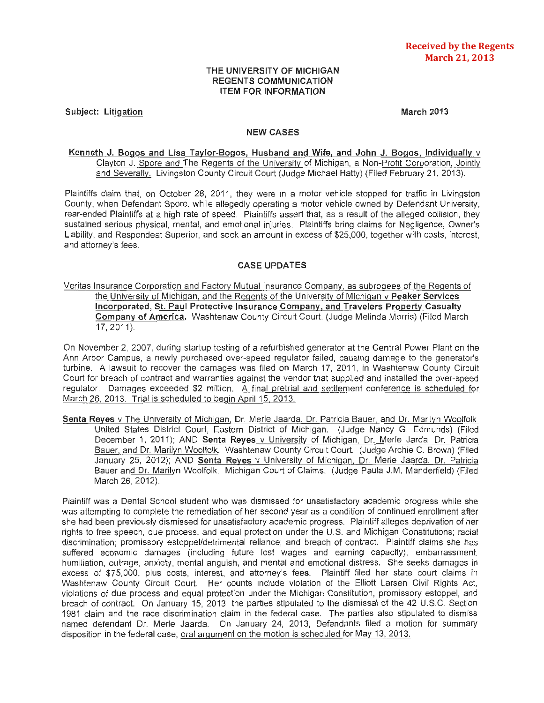# THE UNIVERSITY OF MICHIGAN REGENTS COMMUNICATION ITEM FOR INFORMATION

Subject: Litigation

March 2013

#### NEW CASES

# Kenneth J. Bogos and Lisa Taylor-Bogos, Husband and Wife, and John J. Bogos, Individually v Clayton J. Spore and The Regents of the University of Michigan, a Non-Profit Corporation, Jointly and Severally. Livingston County Circuit Court (Judge Michael Hatty) (Filed February 21 , 2013).

Plaintiffs claim that, on October 28, 2011, they were in a motor vehicle stopped for traffic in Livingston County, when Defendant Spore, while allegedly operating a motor vehicle owned by Defendant University, rear-ended Plaintiffs at a high rate of speed. Plaintiffs assert that, as a result of the alleged collision, they sustained serious physical, mental, and emotional injuries. Plaintiffs bring claims for Negligence, Owner's Liability, and Respondeat Superior, and seek an amount in excess of \$25,000, together with costs, interest, and attorney's fees.

# CASE UPDATES

Veritas Insurance Corporation and Factory Mutual Insurance Company, as subrogees of the Regents of the University of Michigan, and the Regents of the University of Michigan v Peaker Services Incorporated, St. Paul Protective Insurance Company, and Travelers Property Casualty Company of America. Washtenaw County Circuit Court. (Judge Melinda Morris) (Filed March 17, 2011).

On November 2, 2007, during startup testing of a refurbished generator at the Central Power Plant on the Ann Arbor Campus, a newly purchased over-speed regulator failed, causing damage to the generator's turbine. A lawsuit to recover the damages was filed on March 17, 2011, in Washtenaw County Circuit Court for breach of contract and warranties against the vendor that supplied and installed the over-speed regulator. Damages exceeded \$2 million. A final pretrial and settlement conference is scheduled for March 26, 2013. Trial is scheduled to begin April 15, 2013.

Senta Reyes v The University of Michigan, Dr. Merle Jaarda. Dr. Patricia Bauer, and Dr. Marilyn Woolfolk. United States District Court, Eastern District of Michigan. (Judge Nancy G. Edmunds) (Filed December 1, 2011); AND Senta Reyes v University of Michigan, Dr. Merle Jarda, Dr. Patricia Bauer, and Dr. Marilyn Woolfolk. Washtenaw County Circuit Court. (Judge Archie C. Brown) (Filed January 25, 2012); AND Senta Reyes v University of Michigan, Dr. Merle Jaarda, Dr. Patricia Bauer and Dr. Marilyn Woolfolk. Michigan Court of Claims. (Judge Paula J.M. Manderfield) (Filed March 26, 2012).

Plaintiff was a Dental School student who was dismissed for unsatisfactory academic progress while she was attempting to complete the remediation of her second year as a condition of continued enrollment after she had been previously dismissed for unsatisfactory academic progress. Plaintiff alleges deprivation of her rights to free speech, due process, and equal protection under the U.S. and Michigan Constitutions; racial discrimination; promissory estoppel/detrimental reliance; and breach of contract. Plaintiff claims she has suffered economic damages (including future lost wages and earning capacity), embarrassment, humiliation, outrage, anxiety, mental anguish, and mental and emotional distress. She seeks damages in excess of \$75,000, plus costs, interest, and attorney's fees. Plaintiff filed her state court claims in Washtenaw County Circuit Court. Her counts include violation of the Elliott Larsen Civil Rights Act, violations of due process and equal protection under the Michigan Constitution, promissory estoppel, and breach of contract. On January 15, 2013, the parties stipulated to the dismissal of the 42 U.S.C. Section 1981 claim and the race discrimination claim in the federal case. The parties also stipulated to dismiss named defendant Dr. Merle Jaarda. On January 24, 2013, Defendants filed a motion for summary disposition in the federal case; oral argument on the motion is scheduled for May 13, 2013.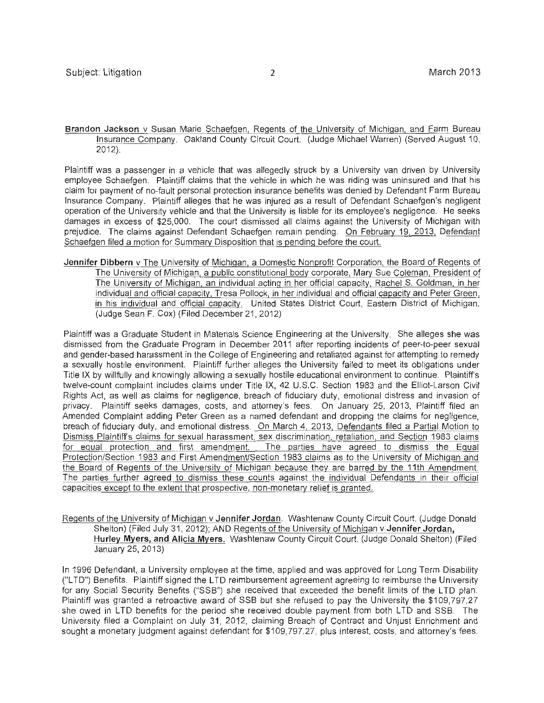**Brandon Jackson** v Susan Marie Schaefgen, Regents of the University of Michigan, and Farm Bureau Insurance Company. Oakland County Circuit Court. (Judge Michael Warren) (Served August 10, 2012).

Plaintiff was a passenger in a vehicle that was allegedly struck by a University van driven by University employee Schaefgen. Plaintiff claims that the vehicle in which he was riding was uninsured and that his claim for payment of no-fault personal protection insurance benefits was denied by Defendant Farm Bureau Insurance Company. Plaintiff alleges that he was injured as a result of Defendant Schaefgen's negligent operation of the University vehicle and that the University is liable for its employee's negligence. He seeks damages in excess of \$25,000. The court dismissed all claims against the University of Michigan with prejudice. The claims against Defendant Schaefgen remain pending. On February 19, 2013, Defendant Schaefgen filed a motion for Summary Disposition that is pending before the court.

**Jennifer Dibbern** v The University of Michigan, a Domestic Nonprofit Corporation, the Board of Regents of The University of Michigan, a public constitutional body corporate, Mary Sue Coleman, President of The University of Michigan, an individual acting in her official capacity, Rachel S. Goldman, in her individual and official capacity, Tresa Pollock, in her individual and official capacity and Peter Green, in his individual and official capacity. United States District Court, Eastern District of Michigan. (Judge Sean **F.** Cox) (Filed December 21, 2012)

Plaintiff was a Graduate Student in Materials Science Engineering at the University. She alleges she was dismissed from the Graduate Program in December 2011 after reporting incidents of peer-to-peer sexual and gender-based harassment in the College of Engineering and retaliated against for attempting to remedy a sexually hostile environment. Plaintiff further alleges the University failed to meet its obligations under Title IX by willfully and knowingly allowing a sexually hostile educational environment to continue. Plaintiff's twelve-count complaint includes claims under Title IX, 42 U.S.C. Section 1983 and the Elliot-Larson Civil Rights Act, as well as claims for negligence, breach of fiduciary duty, emotional distress and invasion of privacy. Plaintiff seeks damages, costs, and attorney's fees. On January 25, 2013, Plaintiff filed an Amended Complaint adding Peter Green as a named defendant and dropping the claims for negligence, breach of fiduciary duty, and emotional distress. On March 4, 2013, Defendants filed a Partial Motion to Dismiss Plaintiff's claims for sexual harassment, sex discrimination, retaliation, and Section 1983 claims for equal protection and first amendment. The parties have agreed to dismiss the Equal Protection/Section 1983 and First Amendment/Section 1983 claims as to the University of Michigan and the Board of Regents of the University of Michigan because they are barred by the 11th Amendment. The parties further agreed to dismiss these counts against the individual Defendants in their official capacities except to the extent that prospective, non-monetary relief is granted.

Regents of the University of Michigan v **Jennifer Jordan.** Washtenaw County Circuit Court. (Judge Donald Shelton) (Filed July 31, 2012); AND Regents of the University of Michigan v Jennifer Jordan, **Hurley Myers, and Alicia Myers.** Washtenaw County Circuit Court. (Judge Donald Shelton) (Filed January 25, 2013)

In 1996 Defendant, a University employee at the time, applied and was approved for Long Term Disability ("L TO") Benefits. Plaintiff signed the L TO reimbursement agreement agreeing to reimburse the University for any Social Security Benefits ("SSB") she received that exceeded the benefit limits of the **L** TO plan. Plaintiff was granted a retroactive award of SSB but she refused to pay the University the \$109,797.27 she owed in LTD benefits for the period she received double payment from both LTD and SSB. The University filed a Complaint on July 31 , 2012, claiming Breach of Contract and Unjust Enrichment and sought a monetary judgment against defendant for \$109,797.27, plus interest, costs, and attorney's fees.